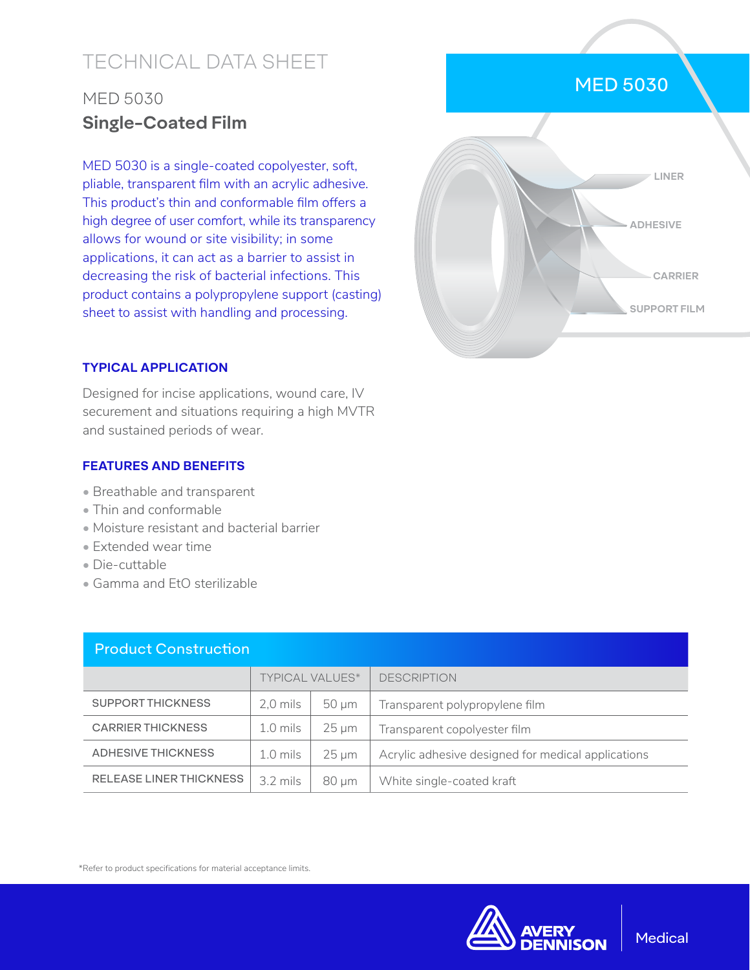# TECHNICAL DATA SHEET

# MED 5030 **Single-Coated Film**

MED 5030 is a single-coated copolyester, soft, pliable, transparent film with an acrylic adhesive. This product's thin and conformable film offers a high degree of user comfort, while its transparency allows for wound or site visibility; in some applications, it can act as a barrier to assist in decreasing the risk of bacterial infections. This product contains a polypropylene support (casting) sheet to assist with handling and processing.

## MED 5030



### **TYPICAL APPLICATION**

Designed for incise applications, wound care, IV securement and situations requiring a high MVTR and sustained periods of wear.

#### **FEATURES AND BENEFITS**

- Breathable and transparent
- Thin and conformable
- Moisture resistant and bacterial barrier
- Extended wear time
- Die-cuttable
- Gamma and EtO sterilizable

| <b>Product Construction</b>    |                        |            |                                                    |  |  |  |
|--------------------------------|------------------------|------------|----------------------------------------------------|--|--|--|
|                                | <b>TYPICAL VALUES*</b> |            | <b>DESCRIPTION</b>                                 |  |  |  |
| <b>SUPPORT THICKNESS</b>       | 2.0 mils               | $50 \mu m$ | Transparent polypropylene film                     |  |  |  |
| <b>CARRIER THICKNESS</b>       | $1.0$ mils             | $25 \mu m$ | Transparent copolyester film                       |  |  |  |
| <b>ADHESIVE THICKNESS</b>      | $1.0$ mils             | $25 \mu m$ | Acrylic adhesive designed for medical applications |  |  |  |
| <b>RELEASE LINER THICKNESS</b> | $3.2 \text{ miles}$    | $80 \mu m$ | White single-coated kraft                          |  |  |  |

\*Refer to product specifications for material acceptance limits.